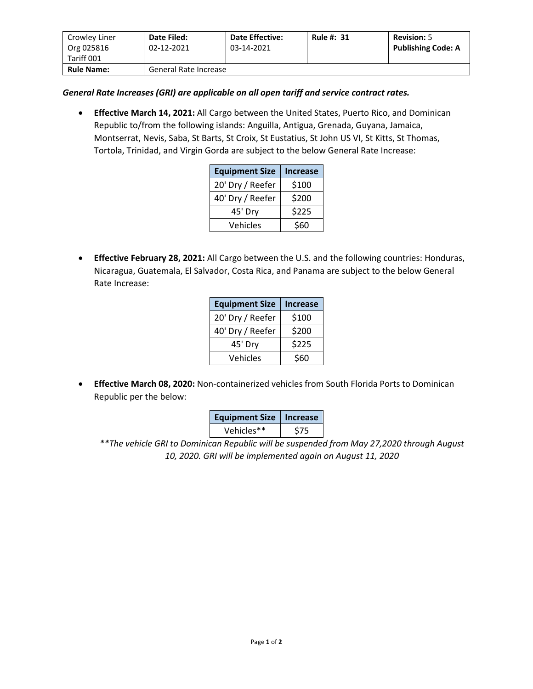| Crowley Liner<br>Org 025816<br>Tariff 001 | Date Filed:<br>02-12-2021 | <b>Date Effective:</b><br>03-14-2021 | <b>Rule #: 31</b> | <b>Revision: 5</b><br><b>Publishing Code: A</b> |
|-------------------------------------------|---------------------------|--------------------------------------|-------------------|-------------------------------------------------|
| <b>Rule Name:</b>                         | General Rate Increase     |                                      |                   |                                                 |

## *General Rate Increases (GRI) are applicable on all open tariff and service contract rates.*

• **Effective March 14, 2021:** All Cargo between the United States, Puerto Rico, and Dominican Republic to/from the following islands: Anguilla, Antigua, Grenada, Guyana, Jamaica, Montserrat, Nevis, Saba, St Barts, St Croix, St Eustatius, St John US VI, St Kitts, St Thomas, Tortola, Trinidad, and Virgin Gorda are subject to the below General Rate Increase:

| <b>Equipment Size</b> | <b>Increase</b> |  |
|-----------------------|-----------------|--|
| 20' Dry / Reefer      | \$100           |  |
| 40' Dry / Reefer      | \$200           |  |
| 45' Dry               | \$225           |  |
| Vehicles              | \$60            |  |

• **Effective February 28, 2021:** All Cargo between the U.S. and the following countries: Honduras, Nicaragua, Guatemala, El Salvador, Costa Rica, and Panama are subject to the below General Rate Increase:

| <b>Equipment Size</b> | <b>Increase</b> |  |
|-----------------------|-----------------|--|
| 20' Dry / Reefer      | \$100           |  |
| 40' Dry / Reefer      | \$200           |  |
| 45' Dry               | \$225           |  |
| Vehicles              | \$60            |  |

• **Effective March 08, 2020:** Non-containerized vehicles from South Florida Ports to Dominican Republic per the below:

| <b>Equipment Size   Increase</b> |     |  |
|----------------------------------|-----|--|
| Vehicles**                       | S75 |  |

*\*\*The vehicle GRI to Dominican Republic will be suspended from May 27,2020 through August 10, 2020. GRI will be implemented again on August 11, 2020*